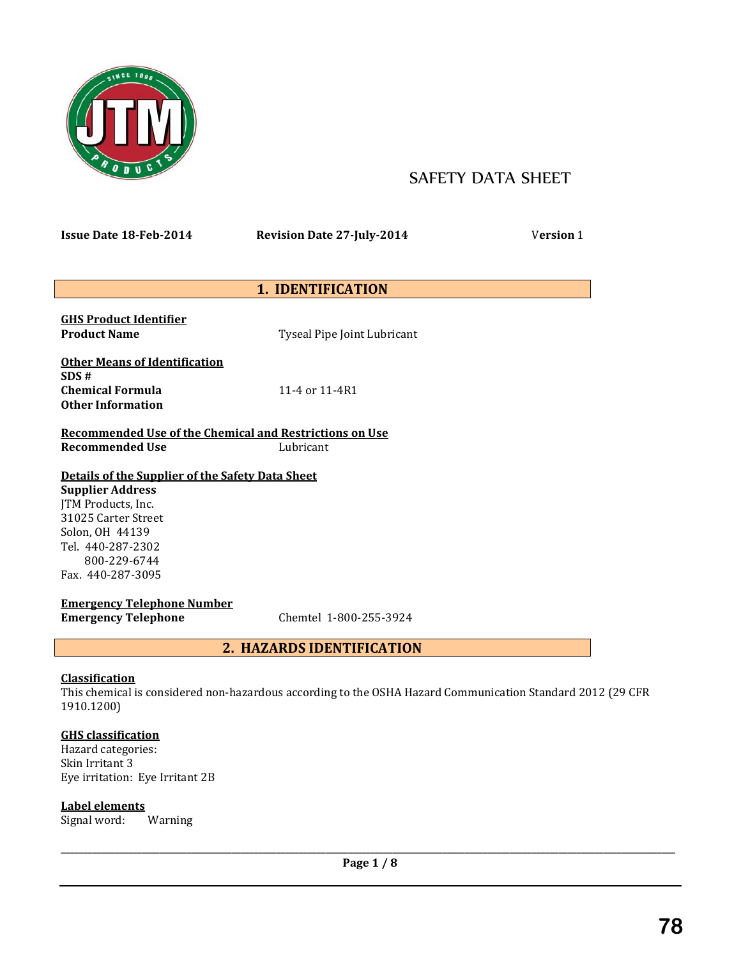

# SAFETY DATA SHEET

**Issue Date 18-Feb-2014 Revision Date 27-July-2014** V**ersion** 1

## **1. IDENTIFICATION**

**GHS Product Identifier**

**Product Name** Tyseal Pipe Joint Lubricant

**Other Means of Identification SDS # Chemical Formula** 11-4 or 11-4R1 **Other Information**

**Recommended Use of the Chemical and Restrictions on Use Recommended Use** Lubricant

## **Details of the Supplier of the Safety Data Sheet**

**Supplier Address** JTM Products, Inc. 31025 Carter Street Solon, OH 44139 Tel. 440-287-2302 800-229-6744 Fax. 440-287-3095

**Emergency Telephone Number Emergency Telephone** Chemtel 1-800-255-3924

## **2. HAZARDS IDENTIFICATION**

## **Classification**

This chemical is considered non-hazardous according to the OSHA Hazard Communication Standard 2012 (29 CFR 1910.1200)

## **GHS classification**

Hazard categories: Skin Irritant 3 Eye irritation: Eye Irritant 2B

## **Label elements**

Signal word: Warning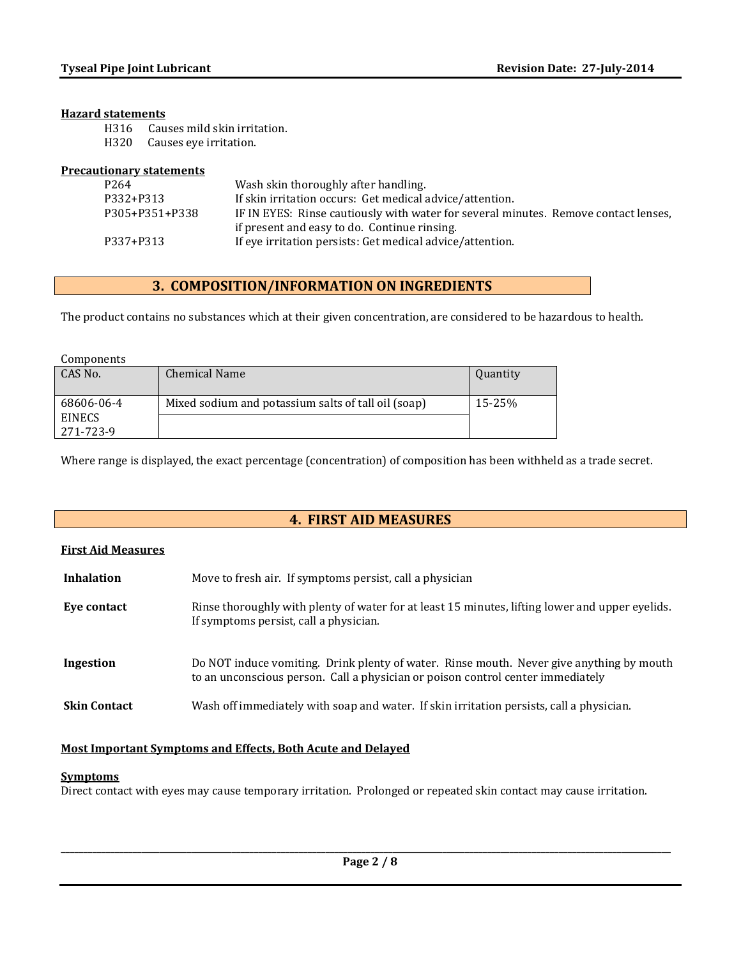#### **Hazard statements**

- H316 Causes mild skin irritation.
- H320 Causes eye irritation.

#### **Precautionary statements**

| P <sub>264</sub> | Wash skin thoroughly after handling.                                                |
|------------------|-------------------------------------------------------------------------------------|
| P332+P313        | If skin irritation occurs: Get medical advice/attention.                            |
| P305+P351+P338   | IF IN EYES: Rinse cautiously with water for several minutes. Remove contact lenses, |
|                  | if present and easy to do. Continue rinsing.                                        |
| P337+P313        | If eye irritation persists: Get medical advice/attention.                           |
|                  |                                                                                     |

## **3. COMPOSITION/INFORMATION ON INGREDIENTS**

The product contains no substances which at their given concentration, are considered to be hazardous to health.

| Components    |                                                     |          |
|---------------|-----------------------------------------------------|----------|
| CAS No.       | <b>Chemical Name</b>                                | Quantity |
|               |                                                     |          |
| 68606-06-4    | Mixed sodium and potassium salts of tall oil (soap) | 15-25%   |
| <b>EINECS</b> |                                                     |          |
| 271-723-9     |                                                     |          |

Where range is displayed, the exact percentage (concentration) of composition has been withheld as a trade secret.

## **4. FIRST AID MEASURES**

| <b>First Aid Measures</b> |                                                                                                                                                                             |
|---------------------------|-----------------------------------------------------------------------------------------------------------------------------------------------------------------------------|
| <b>Inhalation</b>         | Move to fresh air. If symptoms persist, call a physician                                                                                                                    |
| Eye contact               | Rinse thoroughly with plenty of water for at least 15 minutes, lifting lower and upper eyelids.<br>If symptoms persist, call a physician.                                   |
| Ingestion                 | Do NOT induce vomiting. Drink plenty of water. Rinse mouth. Never give anything by mouth<br>to an unconscious person. Call a physician or poison control center immediately |
| <b>Skin Contact</b>       | Wash off immediately with soap and water. If skin irritation persists, call a physician.                                                                                    |

#### **Most Important Symptoms and Effects, Both Acute and Delayed**

#### **Symptoms**

Direct contact with eyes may cause temporary irritation. Prolonged or repeated skin contact may cause irritation.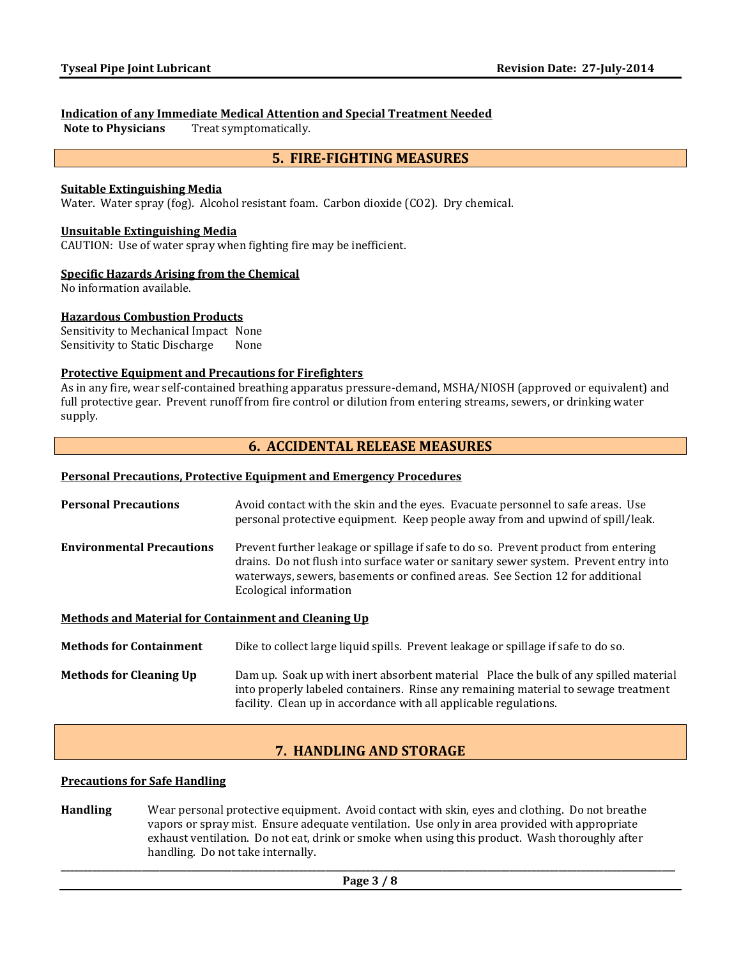#### **Indication of any Immediate Medical Attention and Special Treatment Needed**

**Note to Physicians** Treat symptomatically.

## **5. FIRE-FIGHTING MEASURES**

#### **Suitable Extinguishing Media**

Water. Water spray (fog). Alcohol resistant foam. Carbon dioxide (CO2). Dry chemical.

#### **Unsuitable Extinguishing Media**

CAUTION: Use of water spray when fighting fire may be inefficient.

#### **Specific Hazards Arising from the Chemical**

No information available.

#### **Hazardous Combustion Products**

Sensitivity to Mechanical Impact None Sensitivity to Static Discharge None

#### **Protective Equipment and Precautions for Firefighters**

As in any fire, wear self-contained breathing apparatus pressure-demand, MSHA/NIOSH (approved or equivalent) and full protective gear. Prevent runoff from fire control or dilution from entering streams, sewers, or drinking water supply.

## **6. ACCIDENTAL RELEASE MEASURES**

#### **Personal Precautions, Protective Equipment and Emergency Procedures**

| <b>Personal Precautions</b>                          | Avoid contact with the skin and the eyes. Evacuate personnel to safe areas. Use<br>personal protective equipment. Keep people away from and upwind of spill/leak.                                                                                                                      |  |  |
|------------------------------------------------------|----------------------------------------------------------------------------------------------------------------------------------------------------------------------------------------------------------------------------------------------------------------------------------------|--|--|
| <b>Environmental Precautions</b>                     | Prevent further leakage or spillage if safe to do so. Prevent product from entering<br>drains. Do not flush into surface water or sanitary sewer system. Prevent entry into<br>waterways, sewers, basements or confined areas. See Section 12 for additional<br>Ecological information |  |  |
| Methods and Material for Containment and Cleaning Up |                                                                                                                                                                                                                                                                                        |  |  |
| <b>Methods for Containment</b>                       | Dike to collect large liquid spills. Prevent leakage or spillage if safe to do so.                                                                                                                                                                                                     |  |  |
| <b>Methods for Cleaning Up</b>                       | Dam up. Soak up with inert absorbent material Place the bulk of any spilled material<br>into properly labeled containers. Rinse any remaining material to sewage treatment<br>facility. Clean up in accordance with all applicable regulations.                                        |  |  |

## **7. HANDLING AND STORAGE**

#### **Precautions for Safe Handling**

**Handling** Wear personal protective equipment. Avoid contact with skin, eyes and clothing. Do not breathe vapors or spray mist. Ensure adequate ventilation. Use only in area provided with appropriate exhaust ventilation. Do not eat, drink or smoke when using this product. Wash thoroughly after handling. Do not take internally.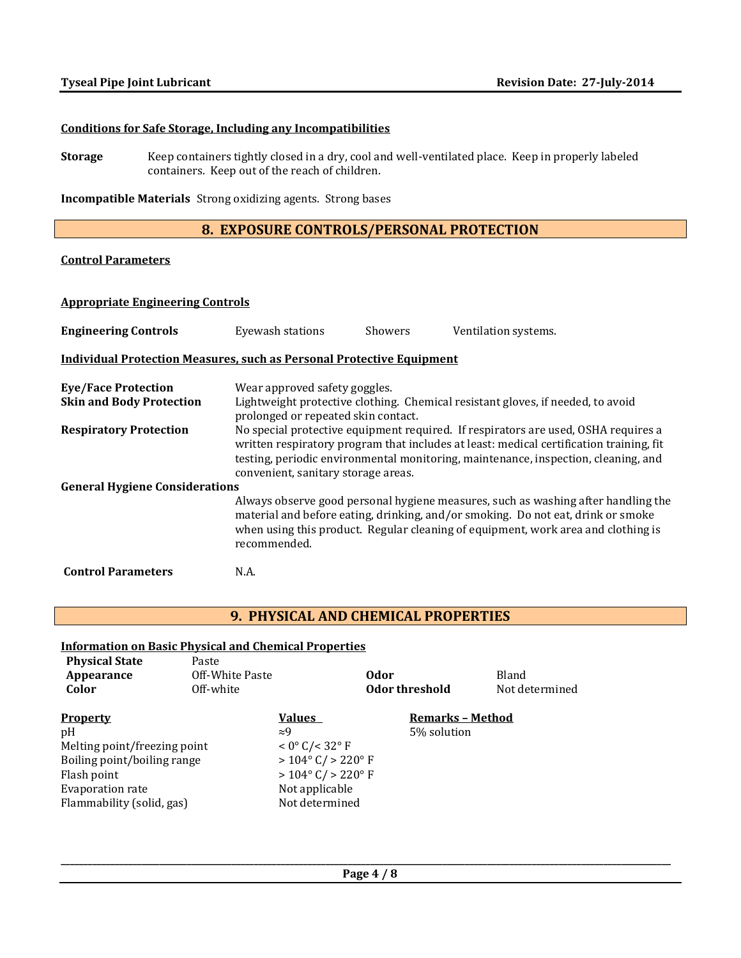#### **Conditions for Safe Storage, Including any Incompatibilities**

**Storage** Keep containers tightly closed in a dry, cool and well-ventilated place. Keep in properly labeled containers. Keep out of the reach of children.

**Incompatible Materials** Strong oxidizing agents. Strong bases

## **8. EXPOSURE CONTROLS/PERSONAL PROTECTION**

## **Control Parameters**

#### **Appropriate Engineering Controls**

| <b>Engineering Controls</b>                                                  | Eyewash stations                                                                                                                                                                                                                                                                                           | <b>Showers</b> | Ventilation systems.                                                                                                                                                                                                                                       |
|------------------------------------------------------------------------------|------------------------------------------------------------------------------------------------------------------------------------------------------------------------------------------------------------------------------------------------------------------------------------------------------------|----------------|------------------------------------------------------------------------------------------------------------------------------------------------------------------------------------------------------------------------------------------------------------|
| <b>Individual Protection Measures, such as Personal Protective Equipment</b> |                                                                                                                                                                                                                                                                                                            |                |                                                                                                                                                                                                                                                            |
| <b>Eye/Face Protection</b><br><b>Skin and Body Protection</b>                | Wear approved safety goggles.<br>prolonged or repeated skin contact.                                                                                                                                                                                                                                       |                | Lightweight protective clothing. Chemical resistant gloves, if needed, to avoid                                                                                                                                                                            |
| <b>Respiratory Protection</b>                                                | No special protective equipment required. If respirators are used, OSHA requires a<br>written respiratory program that includes at least: medical certification training, fit<br>testing, periodic environmental monitoring, maintenance, inspection, cleaning, and<br>convenient, sanitary storage areas. |                |                                                                                                                                                                                                                                                            |
| <b>General Hygiene Considerations</b>                                        |                                                                                                                                                                                                                                                                                                            |                |                                                                                                                                                                                                                                                            |
|                                                                              | recommended.                                                                                                                                                                                                                                                                                               |                | Always observe good personal hygiene measures, such as washing after handling the<br>material and before eating, drinking, and/or smoking. Do not eat, drink or smoke<br>when using this product. Regular cleaning of equipment, work area and clothing is |
| <b>Control Parameters</b>                                                    | N.A.                                                                                                                                                                                                                                                                                                       |                |                                                                                                                                                                                                                                                            |

## **9. PHYSICAL AND CHEMICAL PROPERTIES**

### **Information on Basic Physical and Chemical Properties**

| <b>Physical State</b><br>Appearance<br>Color | Paste<br>Off-White Paste<br>Off-white |                                      | 0dor | Odor threshold          | Bland<br>Not determined |
|----------------------------------------------|---------------------------------------|--------------------------------------|------|-------------------------|-------------------------|
| <b>Property</b>                              |                                       | <b>Values</b>                        |      | <b>Remarks - Method</b> |                         |
| pH                                           |                                       | $\approx 9$                          |      | 5% solution             |                         |
| Melting point/freezing point                 |                                       | $< 0^{\circ}$ C/ $< 32^{\circ}$ F    |      |                         |                         |
| Boiling point/boiling range                  |                                       | $> 104^{\circ}$ C/ $> 220^{\circ}$ F |      |                         |                         |
| Flash point                                  |                                       | $> 104^{\circ}$ C/ $> 220^{\circ}$ F |      |                         |                         |
| Evaporation rate                             |                                       | Not applicable                       |      |                         |                         |
| Flammability (solid, gas)                    |                                       | Not determined                       |      |                         |                         |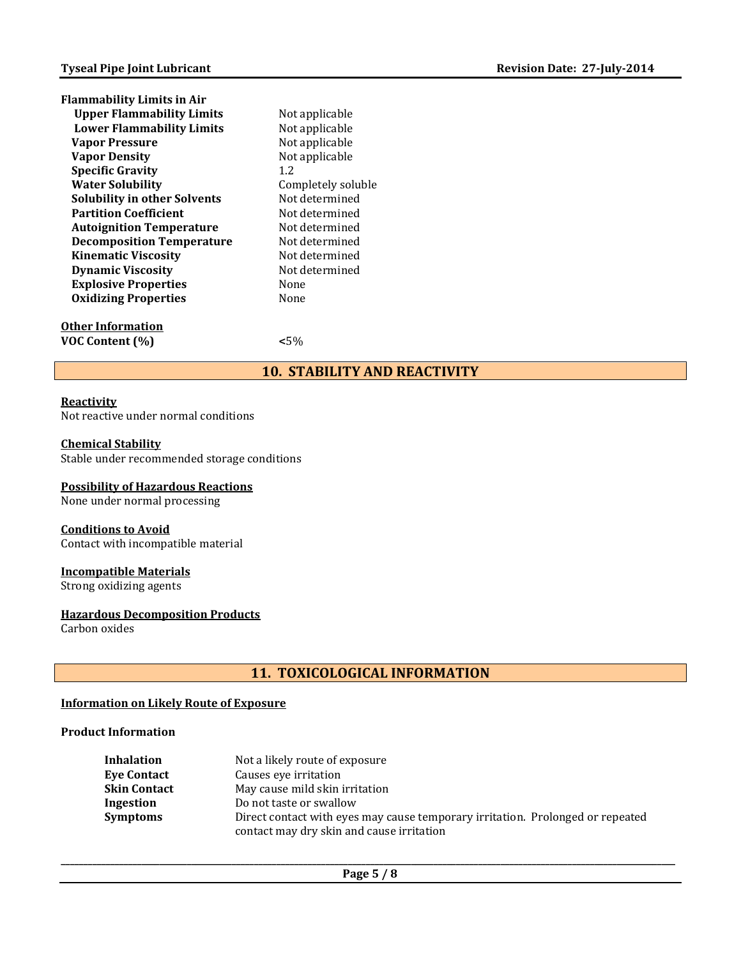| <b>Flammability Limits in Air</b>   |                    |
|-------------------------------------|--------------------|
| <b>Upper Flammability Limits</b>    | Not applicable     |
| <b>Lower Flammability Limits</b>    | Not applicable     |
| <b>Vapor Pressure</b>               | Not applicable     |
| <b>Vapor Density</b>                | Not applicable     |
| <b>Specific Gravity</b>             | 1.2                |
| <b>Water Solubility</b>             | Completely soluble |
| <b>Solubility in other Solvents</b> | Not determined     |
| <b>Partition Coefficient</b>        | Not determined     |
| <b>Autoignition Temperature</b>     | Not determined     |
| <b>Decomposition Temperature</b>    | Not determined     |
| <b>Kinematic Viscosity</b>          | Not determined     |
| <b>Dynamic Viscosity</b>            | Not determined     |
| <b>Explosive Properties</b>         | None               |
| <b>Oxidizing Properties</b>         | None               |
|                                     |                    |

**Other Information VOC Content (%) <**5%

## **10. STABILITY AND REACTIVITY**

#### **Reactivity**

Not reactive under normal conditions

#### **Chemical Stability**

Stable under recommended storage conditions

#### **Possibility of Hazardous Reactions**

None under normal processing

#### **Conditions to Avoid**

Contact with incompatible material

#### **Incompatible Materials**

Strong oxidizing agents

#### **Hazardous Decomposition Products**

Carbon oxides

## **11. TOXICOLOGICAL INFORMATION**

#### **Information on Likely Route of Exposure**

#### **Product Information**

| Inhalation          | Not a likely route of exposure                                                 |
|---------------------|--------------------------------------------------------------------------------|
| <b>Eve Contact</b>  | Causes eve irritation                                                          |
| <b>Skin Contact</b> | May cause mild skin irritation                                                 |
| Ingestion           | Do not taste or swallow                                                        |
| <b>Symptoms</b>     | Direct contact with eyes may cause temporary irritation. Prolonged or repeated |
|                     | contact may dry skin and cause irritation                                      |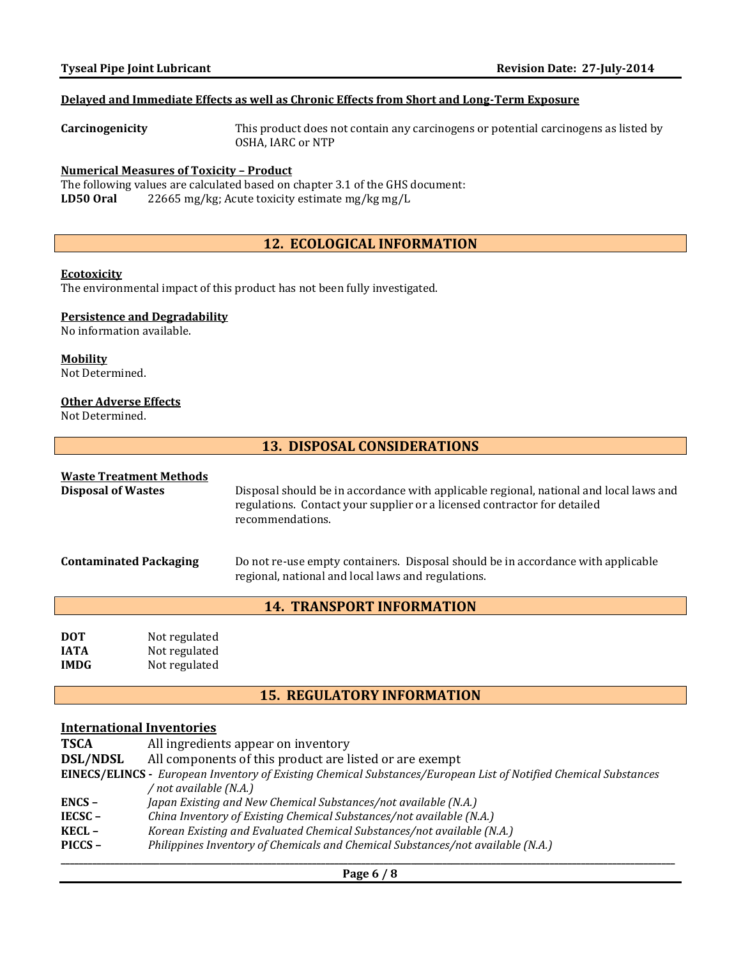## **Delayed and Immediate Effects as well as Chronic Effects from Short and Long-Term Exposure**

**Carcinogenicity** This product does not contain any carcinogens or potential carcinogens as listed by OSHA, IARC or NTP

#### **Numerical Measures of Toxicity – Product**

The following values are calculated based on chapter 3.1 of the GHS document: **LD50 Oral** 22665 mg/kg; Acute toxicity estimate mg/kg mg/L

## **12. ECOLOGICAL INFORMATION**

#### **Ecotoxicity**

The environmental impact of this product has not been fully investigated.

#### **Persistence and Degradability**

No information available.

## **Mobility**

Not Determined.

#### **Other Adverse Effects**

Not Determined.

## **13. DISPOSAL CONSIDERATIONS**

## **Waste Treatment Methods**

| <b>Disposal of Wastes</b>     | Disposal should be in accordance with applicable regional, national and local laws and<br>regulations. Contact your supplier or a licensed contractor for detailed<br>recommendations. |
|-------------------------------|----------------------------------------------------------------------------------------------------------------------------------------------------------------------------------------|
| <b>Contaminated Packaging</b> | Do not re-use empty containers. Disposal should be in accordance with applicable<br>regional, national and local laws and regulations.                                                 |
|                               | <b>14. TRANSPORT INFORMATION</b>                                                                                                                                                       |
|                               |                                                                                                                                                                                        |

| <b>DOT</b>  | Not regulated |
|-------------|---------------|
| <b>IATA</b> | Not regulated |
| <b>IMDG</b> | Not regulated |

## **15. REGULATORY INFORMATION**

## **International Inventories**

| <b>TSCA</b>     | All ingredients appear on inventory                                                                              |
|-----------------|------------------------------------------------------------------------------------------------------------------|
| <b>DSL/NDSL</b> | All components of this product are listed or are exempt                                                          |
|                 | EINECS/ELINCS - European Inventory of Existing Chemical Substances/European List of Notified Chemical Substances |
|                 | not available (N.A.) /                                                                                           |
| $ENCS -$        | Japan Existing and New Chemical Substances/not available (N.A.)                                                  |
| $IECSC -$       | China Inventory of Existing Chemical Substances/not available (N.A.)                                             |
| $KECL -$        | Korean Existing and Evaluated Chemical Substances/not available (N.A.)                                           |
| PICCS-          | Philippines Inventory of Chemicals and Chemical Substances/not available (N.A.)                                  |
|                 |                                                                                                                  |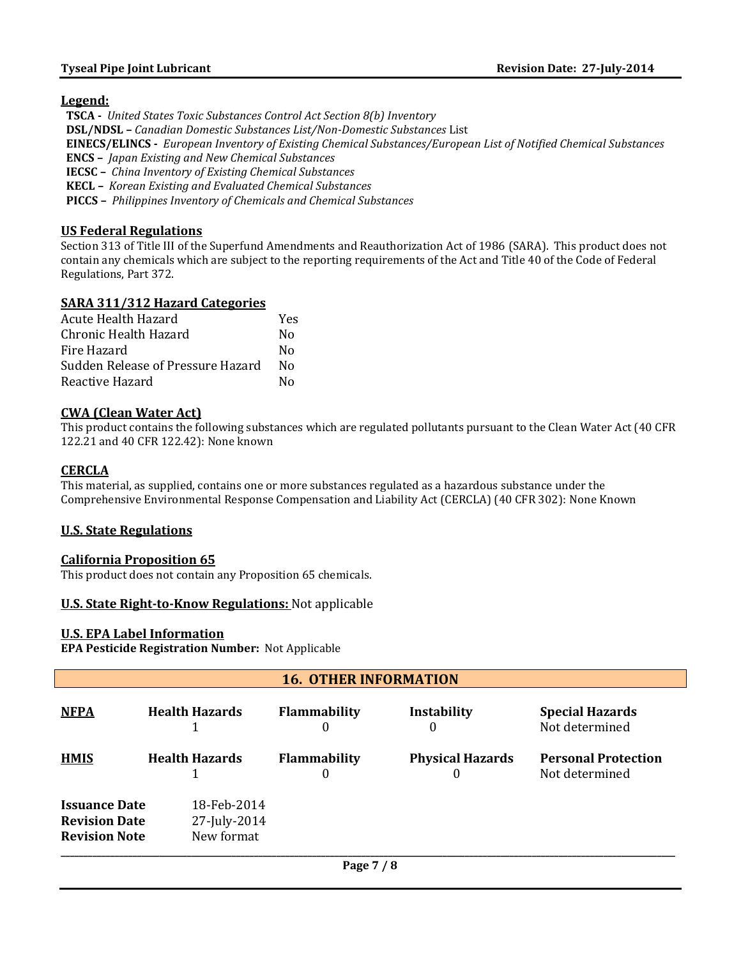#### **Legend:**

 **TSCA -** *United States Toxic Substances Control Act Section 8(b) Inventory*  **DSL/NDSL –** *Canadian Domestic Substances List/Non-Domestic Substances* List  **EINECS/ELINCS -** *European Inventory of Existing Chemical Substances/European List of Notified Chemical Substances*  **ENCS –** *Japan Existing and New Chemical Substances*  **IECSC –** *China Inventory of Existing Chemical Substances*  **KECL –** *Korean Existing and Evaluated Chemical Substances*  **PICCS –** *Philippines Inventory of Chemicals and Chemical Substances*

#### **US Federal Regulations**

Section 313 of Title III of the Superfund Amendments and Reauthorization Act of 1986 (SARA). This product does not contain any chemicals which are subject to the reporting requirements of the Act and Title 40 of the Code of Federal Regulations, Part 372.

#### **SARA 311/312 Hazard Categories**

| Acute Health Hazard               | Yes |
|-----------------------------------|-----|
| Chronic Health Hazard             | N٥  |
| Fire Hazard                       | N٥  |
| Sudden Release of Pressure Hazard | N٥  |
| Reactive Hazard                   | N٥  |

#### **CWA (Clean Water Act)**

This product contains the following substances which are regulated pollutants pursuant to the Clean Water Act (40 CFR 122.21 and 40 CFR 122.42): None known

#### **CERCLA**

This material, as supplied, contains one or more substances regulated as a hazardous substance under the Comprehensive Environmental Response Compensation and Liability Act (CERCLA) (40 CFR 302): None Known

#### **U.S. State Regulations**

#### **California Proposition 65**

This product does not contain any Proposition 65 chemicals.

#### **U.S. State Right-to-Know Regulations:** Not applicable

#### **U.S. EPA Label Information**

**EPA Pesticide Registration Number:** Not Applicable

| <b>16. OTHER INFORMATION</b>                                         |  |                                           |                          |                              |                                              |
|----------------------------------------------------------------------|--|-------------------------------------------|--------------------------|------------------------------|----------------------------------------------|
| <b>NFPA</b>                                                          |  | <b>Health Hazards</b>                     | <b>Flammability</b><br>O | Instability<br>0             | <b>Special Hazards</b><br>Not determined     |
| <b>HMIS</b>                                                          |  | <b>Health Hazards</b>                     | <b>Flammability</b><br>0 | <b>Physical Hazards</b><br>0 | <b>Personal Protection</b><br>Not determined |
| <b>Issuance Date</b><br><b>Revision Date</b><br><b>Revision Note</b> |  | 18-Feb-2014<br>27-July-2014<br>New format |                          |                              |                                              |
|                                                                      |  |                                           | Page 7 / 8               |                              |                                              |